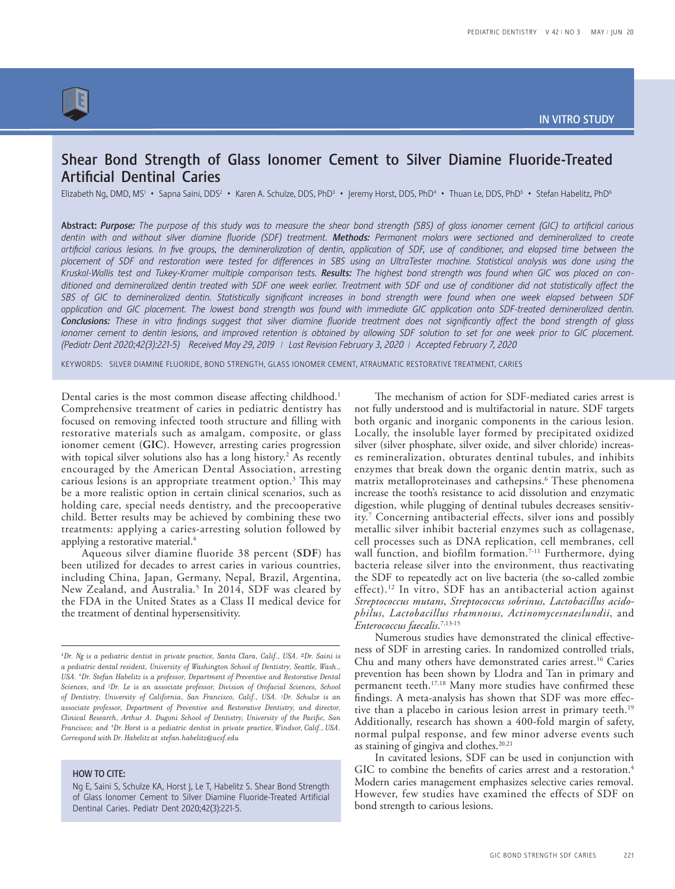

# Shear Bond Strength of Glass Ionomer Cement to Silver Diamine Fluoride-Treated Artificial Dentinal Caries

Elizabeth Ng, DMD, MS<sup>1</sup> • Sapna Saini, DDS<sup>2</sup> • Karen A. Schulze, DDS, PhD<sup>3</sup> • Jeremy Horst, DDS, PhD<sup>6</sup> • Thuan Le, DDS, PhD<sup>5</sup> • Stefan Habelitz, PhD<sup>6</sup>

Abstract: *Purpose: The purpose of this study was to measure the shear bond strength (SBS) of glass ionomer cement (GIC) to artificial carious dentin with and without silver diamine fluoride (SDF) treatment. Methods: Permanent molars were sectioned and demineralized to create artificial carious lesions. In five groups, the demineralization of dentin, application of SDF, use of conditioner, and elapsed time between the placement of SDF and restoration were tested for differences in SBS using an UltraTester machine. Statistical analysis was done using the*  Kruskal-Wallis test and Tukey-Kramer multiple comparison tests. Results: The highest bond strength was found when GIC was placed on con*ditioned and demineralized dentin treated with SDF one week earlier. Treatment with SDF and use of conditioner did not statistically affect the SBS of GIC to demineralized dentin. Statistically significant increases in bond strength were found when one week elapsed between SDF application and GIC placement. The lowest bond strength was found with immediate GIC application onto SDF-treated demineralized dentin. Conclusions: These in vitro findings suggest that silver diamine fluoride treatment does not significantly affect the bond strength of glass*  ionomer cement to dentin lesions, and improved retention is obtained by allowing SDF solution to set for one week prior to GIC placement. *(Pediatr Dent 2020;42(3):221-5) Received May 29, 2019 | Last Revision February 3, 2020 | Accepted February 7, 2020*

KEYWORDS: SILVER DIAMINE FLUORIDE, BOND STRENGTH, GLASS IONOMER CEMENT, ATRAUMATIC RESTORATIVE TREATMENT, CARIES

Dental caries is the most common disease affecting childhood.<sup>1</sup> Comprehensive treatment of caries in pediatric dentistry has focused on removing infected tooth structure and filling with restorative materials such as amalgam, composite, or glass ionomer cement (**GIC**). However, arresting caries progression with topical silver solutions also has a long history.<sup>2</sup> As recently encouraged by the American Dental Association, arresting carious lesions is an appropriate treatment option.<sup>3</sup> This may be a more realistic option in certain clinical scenarios, such as holding care, special needs dentistry, and the precooperative child. Better results may be achieved by combining these two treatments: applying a caries-arresting solution followed by applying a restorative material.<sup>4</sup>

Aqueous silver diamine fluoride 38 percent (**SDF**) has been utilized for decades to arrest caries in various countries, including China, Japan, Germany, Nepal, Brazil, Argentina, New Zealand, and Australia.5 In 2014, SDF was cleared by the FDA in the United States as a Class II medical device for the treatment of dentinal hypersensitivity.

### HOW TO CITE:

The mechanism of action for SDF-mediated caries arrest is not fully understood and is multifactorial in nature. SDF targets both organic and inorganic components in the carious lesion. Locally, the insoluble layer formed by precipitated oxidized silver (silver phosphate, silver oxide, and silver chloride) increases remineralization, obturates dentinal tubules, and inhibits enzymes that break down the organic dentin matrix, such as matrix metalloproteinases and cathepsins.<sup>6</sup> These phenomena increase the tooth's resistance to acid dissolution and enzymatic digestion, while plugging of dentinal tubules decreases sensitivity.7 Concerning antibacterial effects, silver ions and possibly metallic silver inhibit bacterial enzymes such as collagenase, cell processes such as DNA replication, cell membranes, cell wall function, and biofilm formation.<sup>7-11</sup> Furthermore, dying bacteria release silver into the environment, thus reactivating the SDF to repeatedly act on live bacteria (the so-called zombie effect).<sup>12</sup> In vitro, SDF has an antibacterial action against *Streptococcus mutans*, *Streptococcus sobrinus, Lactobacillus acidophilus, Lactobacillus rhamnosus, Actinomycesnaeslundii*, and *Enterococcus faecalis*. 7,13-15

Numerous studies have demonstrated the clinical effectiveness of SDF in arresting caries. In randomized controlled trials, Chu and many others have demonstrated caries arrest.<sup>16</sup> Caries prevention has been shown by Llodra and Tan in primary and permanent teeth.<sup>17,18</sup> Many more studies have confirmed these findings. A meta-analysis has shown that SDF was more effective than a placebo in carious lesion arrest in primary teeth.<sup>19</sup> Additionally, research has shown a 400-fold margin of safety, normal pulpal response, and few minor adverse events such as staining of gingiva and clothes.<sup>20,21</sup>

In cavitated lesions, SDF can be used in conjunction with GIC to combine the benefits of caries arrest and a restoration.<sup>4</sup> Modern caries management emphasizes selective caries removal. However, few studies have examined the effects of SDF on bond strength to carious lesions.

*<sup>1</sup> Dr. Ng is a pediatric dentist in private practice, Santa Clara, Calif., USA. 2Dr. Saini is a pediatric dental resident, University of Washington School of Dentistry, Seattle, Wash., USA. 6 Dr. Stefan Habelitz is a professor, Department of Preventive and Restorative Dental Sciences, and 5 Dr. Le is an associate professor, Division of Orofacial Sciences, School of Dentistry, University of California, San Francisco, Calif., USA. 3 Dr. Schulze is an associate professor, Department of Preventive and Restorative Dentistry, and director, Clinical Research, Arthur A. Dugoni School of Dentistry, University of the Pacific, San Francisco; and 4 Dr. Horst is a pediatric dentist in private practice, Windsor, Calif., USA. Correspond with Dr. Habelitz at stefan.habelitz@ucsf.edu*

Ng E, Saini S, Schulze KA, Horst J, Le T, Habelitz S. Shear Bond Strength of Glass Ionomer Cement to Silver Diamine Fluoride-Treated Artificial Dentinal Caries. Pediatr Dent 2020;42(3):221-5.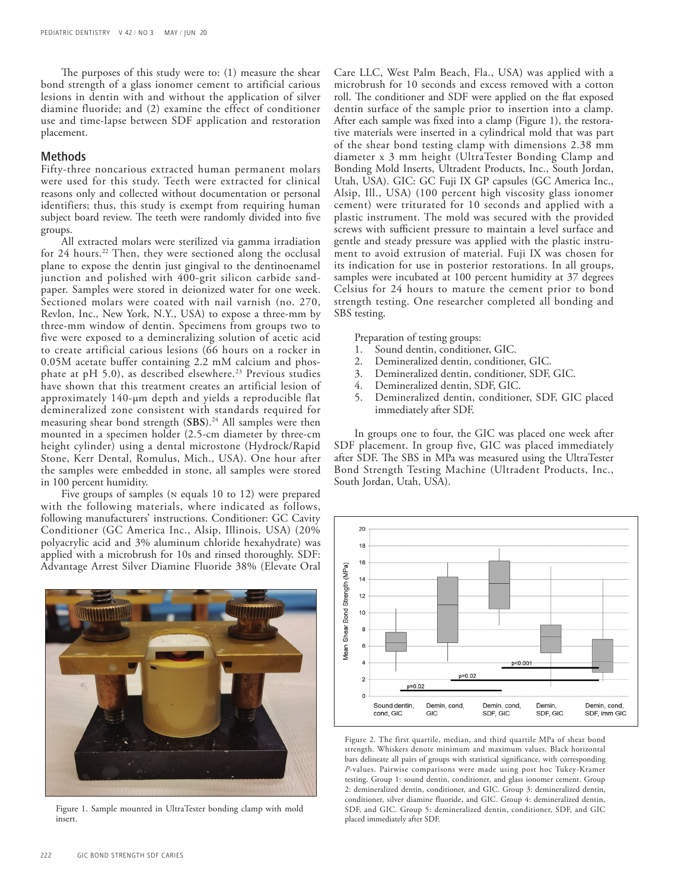The purposes of this study were to: (1) measure the shear bond strength of a glass ionomer cement to artificial carious lesions in dentin with and without the application of silver diamine fluoride; and (2) examine the effect of conditioner use and time-lapse between SDF application and restoration placement.

## Methods

Fifty-three noncarious extracted human permanent molars were used for this study. Teeth were extracted for clinical reasons only and collected without documentation or personal identifiers; thus, this study is exempt from requiring human subject board review. The teeth were randomly divided into five groups.

All extracted molars were sterilized via gamma irradiation for 24 hours.<sup>22</sup> Then, they were sectioned along the occlusal plane to expose the dentin just gingival to the dentinoenamel junction and polished with 400-grit silicon carbide sandpaper. Samples were stored in deionized water for one week. Sectioned molars were coated with nail varnish (no. 270, Revlon, Inc., New York, N.Y., USA) to expose a three-mm by three-mm window of dentin. Specimens from groups two to five were exposed to a demineralizing solution of acetic acid to create artificial carious lesions (66 hours on a rocker in 0.05M acetate buffer containing 2.2 mM calcium and phosphate at pH 5.0), as described elsewhere.<sup>23</sup> Previous studies have shown that this treatment creates an artificial lesion of approximately 140-µm depth and yields a reproducible flat demineralized zone consistent with standards required for measuring shear bond strength (SBS).<sup>24</sup> All samples were then mounted in a specimen holder (2.5-cm diameter by three-cm height cylinder) using a dental microstone (Hydrock/Rapid Stone, Kerr Dental, Romulus, Mich., USA). One hour after the samples were embedded in stone, all samples were stored in 100 percent humidity.

Five groups of samples (N equals 10 to 12) were prepared with the following materials, where indicated as follows, following manufacturers' instructions. Conditioner: GC Cavity Conditioner (GC America Inc., Alsip, Illinois, USA) (20% polyacrylic acid and 3% aluminum chloride hexahydrate) was applied with a microbrush for 10s and rinsed thoroughly. SDF: Advantage Arrest Silver Diamine Fluoride 38% (Elevate Oral



Figure 1. Sample mounted in UltraTester bonding clamp with mold insert.

Care LLC, West Palm Beach, Fla., USA) was applied with a microbrush for 10 seconds and excess removed with a cotton roll. The conditioner and SDF were applied on the flat exposed dentin surface of the sample prior to insertion into a clamp. After each sample was fixed into a clamp (Figure 1), the restorative materials were inserted in a cylindrical mold that was part of the shear bond testing clamp with dimensions 2.38 mm diameter x 3 mm height (UltraTester Bonding Clamp and Bonding Mold Inserts, Ultradent Products, Inc., South Jordan, Utah, USA). GIC: GC Fuji IX GP capsules (GC America Inc., Alsip, Ill., USA) (100 percent high viscosity glass ionomer cement) were triturated for 10 seconds and applied with a plastic instrument. The mold was secured with the provided screws with sufficient pressure to maintain a level surface and gentle and steady pressure was applied with the plastic instrument to avoid extrusion of material. Fuji IX was chosen for its indication for use in posterior restorations. In all groups, samples were incubated at 100 percent humidity at 37 degrees Celsius for 24 hours to mature the cement prior to bond strength testing. One researcher completed all bonding and SBS testing.

Preparation of testing groups:

- 1. Sound dentin, conditioner, GIC.
- 2. Demineralized dentin, conditioner, GIC.
- 3. Demineralized dentin, conditioner, SDF, GIC.
- 4. Demineralized dentin, SDF, GIC.
- 5. Demineralized dentin, conditioner, SDF, GIC placed immediately after SDF.

In groups one to four, the GIC was placed one week after SDF placement. In group five, GIC was placed immediately after SDF. The SBS in MPa was measured using the UltraTester Bond Strength Testing Machine (Ultradent Products, Inc., South Jordan, Utah, USA).



Figure 2. The first quartile, median, and third quartile MPa of shear bond strength. Whiskers denote minimum and maximum values. Black horizontal bars delineate all pairs of groups with statistical significance, with corresponding *P*-values. Pairwise comparisons were made using post hoc Tukey-Kramer testing. Group 1: sound dentin, conditioner, and glass ionomer cement. Group 2: demineralized dentin, conditioner, and GIC. Group 3: demineralized dentin, conditioner, silver diamine fluoride, and GIC. Group 4: demineralized dentin, SDF, and GIC. Group 5: demineralized dentin, conditioner, SDF, and GIC placed immediately after SDF.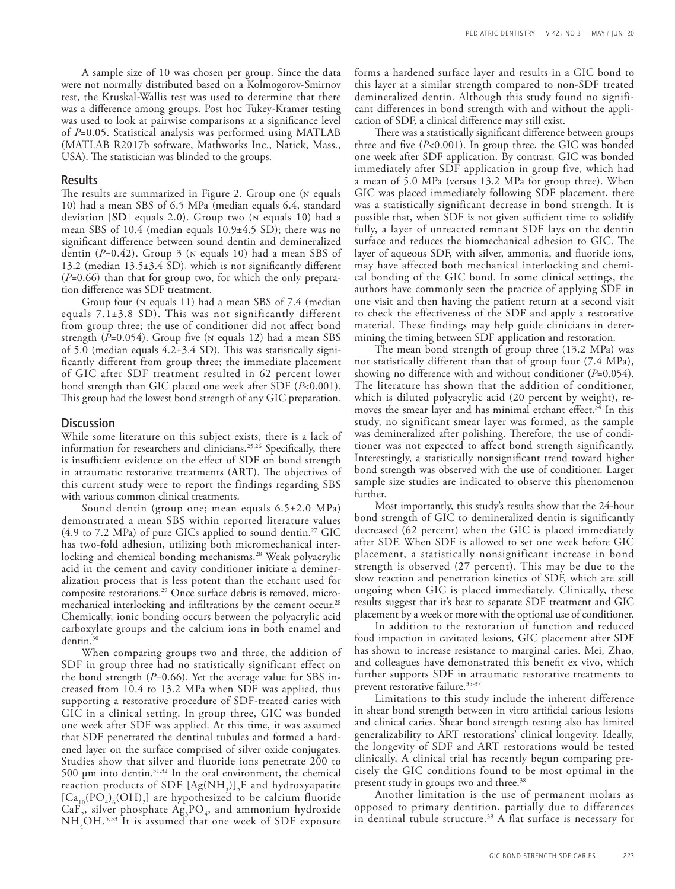A sample size of 10 was chosen per group. Since the data were not normally distributed based on a Kolmogorov-Smirnov test, the Kruskal-Wallis test was used to determine that there was a difference among groups. Post hoc Tukey-Kramer testing was used to look at pairwise comparisons at a significance level of *P*=0.05. Statistical analysis was performed using MATLAB (MATLAB R2017b software, Mathworks Inc., Natick, Mass., USA). The statistician was blinded to the groups.

#### Results

The results are summarized in Figure 2. Group one (n equals 10) had a mean SBS of 6.5 MPa (median equals 6.4, standard deviation [**SD**] equals 2.0). Group two (n equals 10) had a mean SBS of 10.4 (median equals 10.9±4.5 SD); there was no significant difference between sound dentin and demineralized dentin (*P*=0.42). Group 3 (n equals 10) had a mean SBS of 13.2 (median 13.5±3.4 SD), which is not significantly different (*P*=0.66) than that for group two, for which the only preparation difference was SDF treatment.

Group four (n equals 11) had a mean SBS of 7.4 (median equals  $7.1\pm3.8$  SD). This was not significantly different from group three; the use of conditioner did not affect bond strength (*P*=0.054). Group five (n equals 12) had a mean SBS of 5.0 (median equals 4.2±3.4 SD). This was statistically significantly different from group three; the immediate placement of GIC after SDF treatment resulted in 62 percent lower bond strength than GIC placed one week after SDF (*P*<0.001). This group had the lowest bond strength of any GIC preparation.

### **Discussion**

While some literature on this subject exists, there is a lack of information for researchers and clinicians.<sup>25,26</sup> Specifically, there is insufficient evidence on the effect of SDF on bond strength in atraumatic restorative treatments (**ART**). The objectives of this current study were to report the findings regarding SBS with various common clinical treatments.

Sound dentin (group one; mean equals 6.5±2.0 MPa) demonstrated a mean SBS within reported literature values (4.9 to 7.2 MPa) of pure GICs applied to sound dentin.27 GIC has two-fold adhesion, utilizing both micromechanical interlocking and chemical bonding mechanisms.<sup>28</sup> Weak polyacrylic acid in the cement and cavity conditioner initiate a demineralization process that is less potent than the etchant used for composite restorations.29 Once surface debris is removed, micromechanical interlocking and infiltrations by the cement occur.<sup>28</sup> Chemically, ionic bonding occurs between the polyacrylic acid carboxylate groups and the calcium ions in both enamel and dentin.30

When comparing groups two and three, the addition of SDF in group three had no statistically significant effect on the bond strength (*P*=0.66). Yet the average value for SBS increased from 10.4 to 13.2 MPa when SDF was applied, thus supporting a restorative procedure of SDF-treated caries with GIC in a clinical setting. In group three, GIC was bonded one week after SDF was applied. At this time, it was assumed that SDF penetrated the dentinal tubules and formed a hardened layer on the surface comprised of silver oxide conjugates. Studies show that silver and fluoride ions penetrate 200 to 500  $\mu$ m into dentin.<sup>31,32</sup> In the oral environment, the chemical reaction products of SDF  $[Ag(NH_3)]_2$ F and hydroxyapatite  $[Ca_{10}(PO_4)_6(OH)_2]$  are hypothesized to be calcium fluoride  $CaF<sub>2</sub>$ , silver phosphate  $Ag<sub>3</sub>PO<sub>4</sub>$ , and ammonium hydroxide  $NH<sub>4</sub>OH<sup>5,33</sup>$  It is assumed that one week of SDF exposure forms a hardened surface layer and results in a GIC bond to this layer at a similar strength compared to non-SDF treated demineralized dentin. Although this study found no significant differences in bond strength with and without the application of SDF, a clinical difference may still exist.

There was a statistically significant difference between groups three and five (*P*<0.001). In group three, the GIC was bonded one week after SDF application. By contrast, GIC was bonded immediately after SDF application in group five, which had a mean of 5.0 MPa (versus 13.2 MPa for group three). When GIC was placed immediately following SDF placement, there was a statistically significant decrease in bond strength. It is possible that, when SDF is not given sufficient time to solidify fully, a layer of unreacted remnant SDF lays on the dentin surface and reduces the biomechanical adhesion to GIC. The layer of aqueous SDF, with silver, ammonia, and fluoride ions, may have affected both mechanical interlocking and chemical bonding of the GIC bond. In some clinical settings, the authors have commonly seen the practice of applying SDF in one visit and then having the patient return at a second visit to check the effectiveness of the SDF and apply a restorative material. These findings may help guide clinicians in determining the timing between SDF application and restoration.

The mean bond strength of group three (13.2 MPa) was not statistically different than that of group four (7.4 MPa), showing no difference with and without conditioner (*P*=0.054). The literature has shown that the addition of conditioner, which is diluted polyacrylic acid (20 percent by weight), removes the smear layer and has minimal etchant effect.<sup>34</sup> In this study, no significant smear layer was formed, as the sample was demineralized after polishing. Therefore, the use of conditioner was not expected to affect bond strength significantly. Interestingly, a statistically nonsignificant trend toward higher bond strength was observed with the use of conditioner. Larger sample size studies are indicated to observe this phenomenon further.

Most importantly, this study's results show that the 24-hour bond strength of GIC to demineralized dentin is significantly decreased (62 percent) when the GIC is placed immediately after SDF. When SDF is allowed to set one week before GIC placement, a statistically nonsignificant increase in bond strength is observed (27 percent). This may be due to the slow reaction and penetration kinetics of SDF, which are still ongoing when GIC is placed immediately. Clinically, these results suggest that it's best to separate SDF treatment and GIC placement by a week or more with the optional use of conditioner.

In addition to the restoration of function and reduced food impaction in cavitated lesions, GIC placement after SDF has shown to increase resistance to marginal caries. Mei, Zhao, and colleagues have demonstrated this benefit ex vivo, which further supports SDF in atraumatic restorative treatments to prevent restorative failure.<sup>35-37</sup>

Limitations to this study include the inherent difference in shear bond strength between in vitro artificial carious lesions and clinical caries. Shear bond strength testing also has limited generalizability to ART restorations' clinical longevity. Ideally, the longevity of SDF and ART restorations would be tested clinically. A clinical trial has recently begun comparing precisely the GIC conditions found to be most optimal in the present study in groups two and three.<sup>38</sup>

Another limitation is the use of permanent molars as opposed to primary dentition, partially due to differences in dentinal tubule structure.<sup>39</sup> A flat surface is necessary for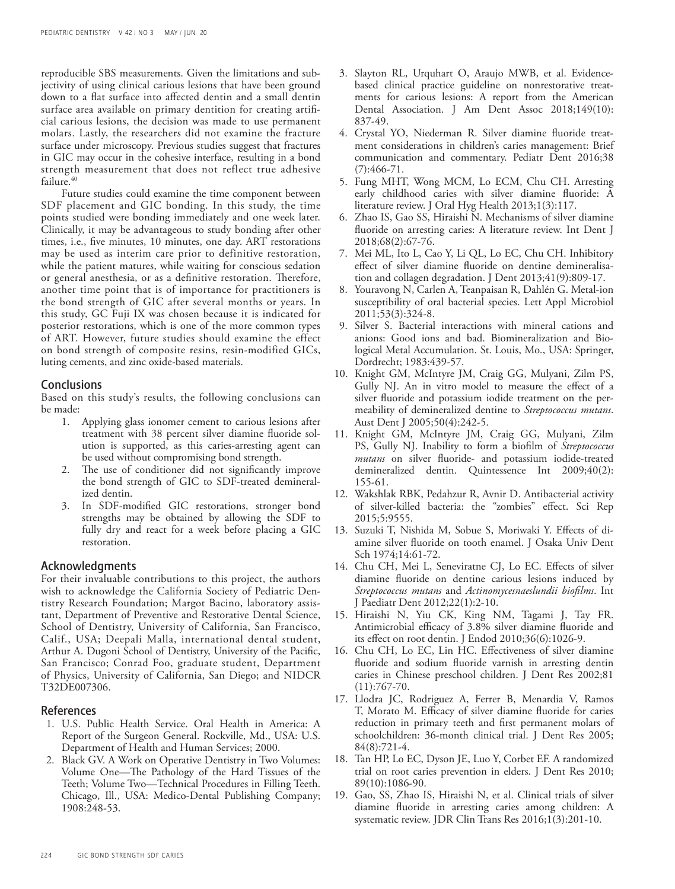reproducible SBS measurements. Given the limitations and subjectivity of using clinical carious lesions that have been ground down to a flat surface into affected dentin and a small dentin surface area available on primary dentition for creating artificial carious lesions, the decision was made to use permanent molars. Lastly, the researchers did not examine the fracture surface under microscopy. Previous studies suggest that fractures in GIC may occur in the cohesive interface, resulting in a bond strength measurement that does not reflect true adhesive failure.<sup>40</sup>

Future studies could examine the time component between SDF placement and GIC bonding. In this study, the time points studied were bonding immediately and one week later. Clinically, it may be advantageous to study bonding after other times, i.e., five minutes, 10 minutes, one day. ART restorations may be used as interim care prior to definitive restoration, while the patient matures, while waiting for conscious sedation or general anesthesia, or as a definitive restoration. Therefore, another time point that is of importance for practitioners is the bond strength of GIC after several months or years. In this study, GC Fuji IX was chosen because it is indicated for posterior restorations, which is one of the more common types of ART. However, future studies should examine the effect on bond strength of composite resins, resin-modified GICs, luting cements, and zinc oxide-based materials.

## **Conclusions**

Based on this study's results, the following conclusions can be made:

- 1. Applying glass ionomer cement to carious lesions after treatment with 38 percent silver diamine fluoride solution is supported, as this caries-arresting agent can be used without compromising bond strength.
- 2. The use of conditioner did not significantly improve the bond strength of GIC to SDF-treated demineralized dentin.
- 3. In SDF-modified GIC restorations, stronger bond strengths may be obtained by allowing the SDF to fully dry and react for a week before placing a GIC restoration.

## Acknowledgments

For their invaluable contributions to this project, the authors wish to acknowledge the California Society of Pediatric Dentistry Research Foundation; Margot Bacino, laboratory assistant, Department of Preventive and Restorative Dental Science, School of Dentistry, University of California, San Francisco, Calif., USA; Deepali Malla, international dental student, Arthur A. Dugoni School of Dentistry, University of the Pacific, San Francisco; Conrad Foo, graduate student, Department of Physics, University of California, San Diego; and NIDCR T32DE007306.

## References

- 1. U.S. Public Health Service. Oral Health in America: A Report of the Surgeon General. Rockville, Md., USA: U.S. Department of Health and Human Services; 2000.
- 2. Black GV. A Work on Operative Dentistry in Two Volumes: Volume One—The Pathology of the Hard Tissues of the Teeth; Volume Two—Technical Procedures in Filling Teeth. Chicago, Ill., USA: Medico-Dental Publishing Company; 1908:248-53.
- 3. Slayton RL, Urquhart O, Araujo MWB, et al. Evidencebased clinical practice guideline on nonrestorative treatments for carious lesions: A report from the American Dental Association. J Am Dent Assoc 2018;149(10): 837-49.
- 4. Crystal YO, Niederman R. Silver diamine fluoride treatment considerations in children's caries management: Brief communication and commentary. Pediatr Dent 2016;38 (7):466-71.
- 5. Fung MHT, Wong MCM, Lo ECM, Chu CH. Arresting early childhood caries with silver diamine fluoride: A literature review. J Oral Hyg Health 2013;1(3):117.
- 6. Zhao IS, Gao SS, Hiraishi N. Mechanisms of silver diamine fluoride on arresting caries: A literature review. Int Dent J 2018;68(2):67-76.
- 7. Mei ML, Ito L, Cao Y, Li QL, Lo EC, Chu CH. Inhibitory effect of silver diamine fluoride on dentine demineralisation and collagen degradation. J Dent 2013;41(9):809-17.
- 8. Youravong N, Carlen A, Teanpaisan R, Dahlén G. Metal-ion susceptibility of oral bacterial species. Lett Appl Microbiol 2011;53(3):324-8.
- 9. Silver S. Bacterial interactions with mineral cations and anions: Good ions and bad. Biomineralization and Biological Metal Accumulation. St. Louis, Mo., USA: Springer, Dordrecht; 1983:439-57.
- 10. Knight GM, McIntyre JM, Craig GG, Mulyani, Zilm PS, Gully NJ. An in vitro model to measure the effect of a silver fluoride and potassium iodide treatment on the permeability of demineralized dentine to *Streptococcus mutans*. Aust Dent J 2005;50(4):242-5.
- 11. Knight GM, McIntyre JM, Craig GG, Mulyani, Zilm PS, Gully NJ. Inability to form a biofilm of *Streptococcus mutans* on silver fluoride- and potassium iodide-treated demineralized dentin. Quintessence Int 2009;40(2): 155-61.
- 12. Wakshlak RBK, Pedahzur R, Avnir D. Antibacterial activity of silver-killed bacteria: the "zombies" effect. Sci Rep 2015;5:9555.
- 13. Suzuki T, Nishida M, Sobue S, Moriwaki Y. Effects of diamine silver fluoride on tooth enamel. J Osaka Univ Dent Sch 1974;14:61-72.
- 14. Chu CH, Mei L, Seneviratne CJ, Lo EC. Effects of silver diamine fluoride on dentine carious lesions induced by *Streptococcus mutans* and *Actinomycesnaeslundii biofilms*. Int J Paediatr Dent 2012;22(1):2-10.
- 15. Hiraishi N, Yiu CK, King NM, Tagami J, Tay FR. Antimicrobial efficacy of 3.8% silver diamine fluoride and its effect on root dentin. J Endod 2010;36(6):1026-9.
- 16. Chu CH, Lo EC, Lin HC. Effectiveness of silver diamine fluoride and sodium fluoride varnish in arresting dentin caries in Chinese preschool children. J Dent Res 2002;81  $(11):767-70.$
- 17. Llodra JC, Rodriguez A, Ferrer B, Menardia V, Ramos T, Morato M. Efficacy of silver diamine fluoride for caries reduction in primary teeth and first permanent molars of schoolchildren: 36-month clinical trial. J Dent Res 2005; 84(8):721-4.
- 18. Tan HP, Lo EC, Dyson JE, Luo Y, Corbet EF. A randomized trial on root caries prevention in elders. J Dent Res 2010; 89(10):1086-90.
- 19. Gao, SS, Zhao IS, Hiraishi N, et al. Clinical trials of silver diamine fluoride in arresting caries among children: A systematic review. JDR Clin Trans Res 2016;1(3):201-10.